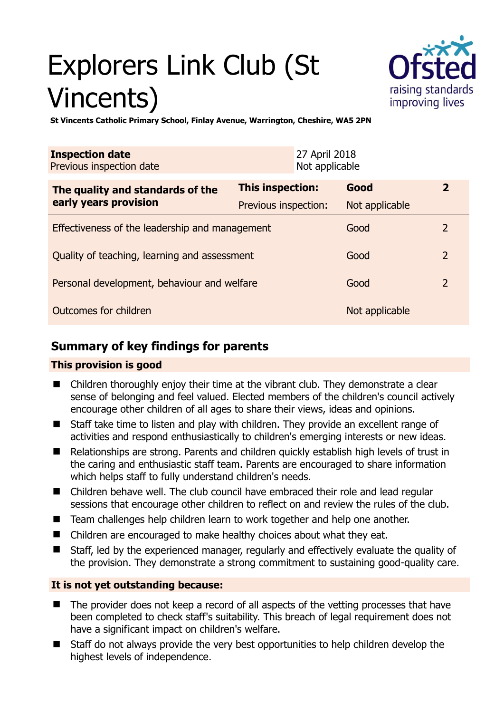# Explorers Link Club (St Vincents)



**St Vincents Catholic Primary School, Finlay Avenue, Warrington, Cheshire, WA5 2PN** 

| <b>Inspection date</b><br>Previous inspection date        | 27 April 2018<br>Not applicable |                |                |
|-----------------------------------------------------------|---------------------------------|----------------|----------------|
| The quality and standards of the<br>early years provision | <b>This inspection:</b>         | Good           | $\mathbf{Z}$   |
|                                                           | Previous inspection:            | Not applicable |                |
| Effectiveness of the leadership and management            |                                 | Good           | 2              |
| Quality of teaching, learning and assessment              |                                 | Good           | $\overline{2}$ |
| Personal development, behaviour and welfare               |                                 | Good           | $\overline{2}$ |
| Outcomes for children                                     |                                 | Not applicable |                |

# **Summary of key findings for parents**

## **This provision is good**

- Children thoroughly enjoy their time at the vibrant club. They demonstrate a clear sense of belonging and feel valued. Elected members of the children's council actively encourage other children of all ages to share their views, ideas and opinions.
- Staff take time to listen and play with children. They provide an excellent range of activities and respond enthusiastically to children's emerging interests or new ideas.
- Relationships are strong. Parents and children quickly establish high levels of trust in the caring and enthusiastic staff team. Parents are encouraged to share information which helps staff to fully understand children's needs.
- Children behave well. The club council have embraced their role and lead regular sessions that encourage other children to reflect on and review the rules of the club.
- Team challenges help children learn to work together and help one another.
- Children are encouraged to make healthy choices about what they eat.
- Staff, led by the experienced manager, regularly and effectively evaluate the quality of the provision. They demonstrate a strong commitment to sustaining good-quality care.

## **It is not yet outstanding because:**

- The provider does not keep a record of all aspects of the vetting processes that have been completed to check staff's suitability. This breach of legal requirement does not have a significant impact on children's welfare.
- Staff do not always provide the very best opportunities to help children develop the highest levels of independence.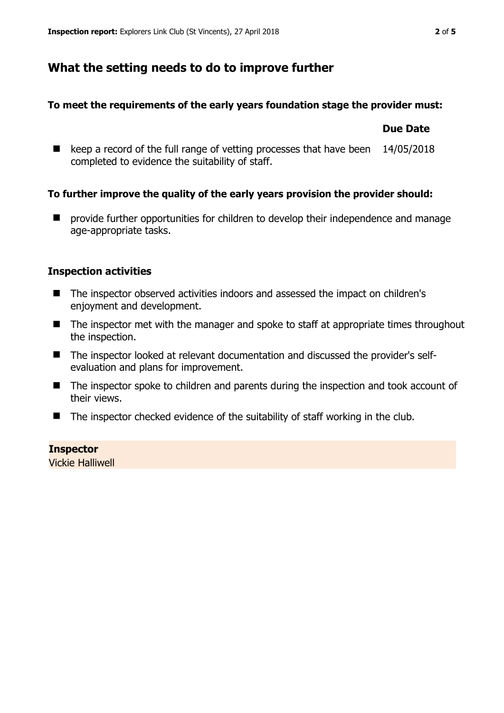## **What the setting needs to do to improve further**

#### **To meet the requirements of the early years foundation stage the provider must:**

#### **Due Date**

■ keep a record of the full range of vetting processes that have been 14/05/2018 completed to evidence the suitability of staff.

#### **To further improve the quality of the early years provision the provider should:**

 $\blacksquare$  provide further opportunities for children to develop their independence and manage age-appropriate tasks.

#### **Inspection activities**

- The inspector observed activities indoors and assessed the impact on children's enjoyment and development.
- The inspector met with the manager and spoke to staff at appropriate times throughout the inspection.
- The inspector looked at relevant documentation and discussed the provider's selfevaluation and plans for improvement.
- The inspector spoke to children and parents during the inspection and took account of their views.
- $\blacksquare$  The inspector checked evidence of the suitability of staff working in the club.

#### **Inspector**

Vickie Halliwell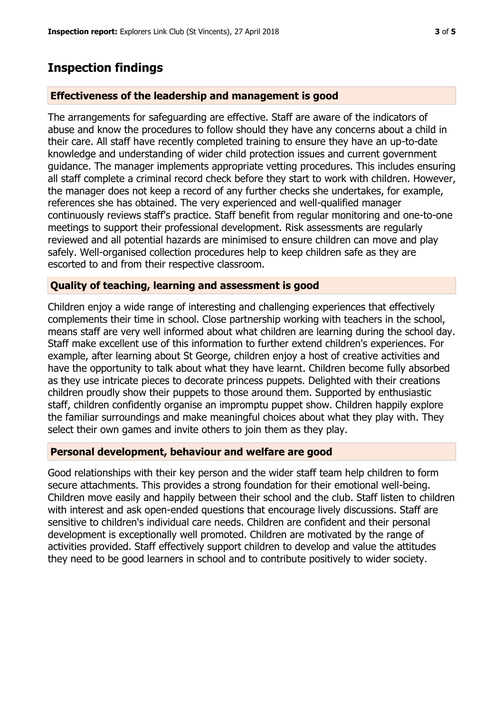# **Inspection findings**

### **Effectiveness of the leadership and management is good**

The arrangements for safeguarding are effective. Staff are aware of the indicators of abuse and know the procedures to follow should they have any concerns about a child in their care. All staff have recently completed training to ensure they have an up-to-date knowledge and understanding of wider child protection issues and current government guidance. The manager implements appropriate vetting procedures. This includes ensuring all staff complete a criminal record check before they start to work with children. However, the manager does not keep a record of any further checks she undertakes, for example, references she has obtained. The very experienced and well-qualified manager continuously reviews staff's practice. Staff benefit from regular monitoring and one-to-one meetings to support their professional development. Risk assessments are regularly reviewed and all potential hazards are minimised to ensure children can move and play safely. Well-organised collection procedures help to keep children safe as they are escorted to and from their respective classroom.

## **Quality of teaching, learning and assessment is good**

Children enjoy a wide range of interesting and challenging experiences that effectively complements their time in school. Close partnership working with teachers in the school, means staff are very well informed about what children are learning during the school day. Staff make excellent use of this information to further extend children's experiences. For example, after learning about St George, children enjoy a host of creative activities and have the opportunity to talk about what they have learnt. Children become fully absorbed as they use intricate pieces to decorate princess puppets. Delighted with their creations children proudly show their puppets to those around them. Supported by enthusiastic staff, children confidently organise an impromptu puppet show. Children happily explore the familiar surroundings and make meaningful choices about what they play with. They select their own games and invite others to join them as they play.

#### **Personal development, behaviour and welfare are good**

Good relationships with their key person and the wider staff team help children to form secure attachments. This provides a strong foundation for their emotional well-being. Children move easily and happily between their school and the club. Staff listen to children with interest and ask open-ended questions that encourage lively discussions. Staff are sensitive to children's individual care needs. Children are confident and their personal development is exceptionally well promoted. Children are motivated by the range of activities provided. Staff effectively support children to develop and value the attitudes they need to be good learners in school and to contribute positively to wider society.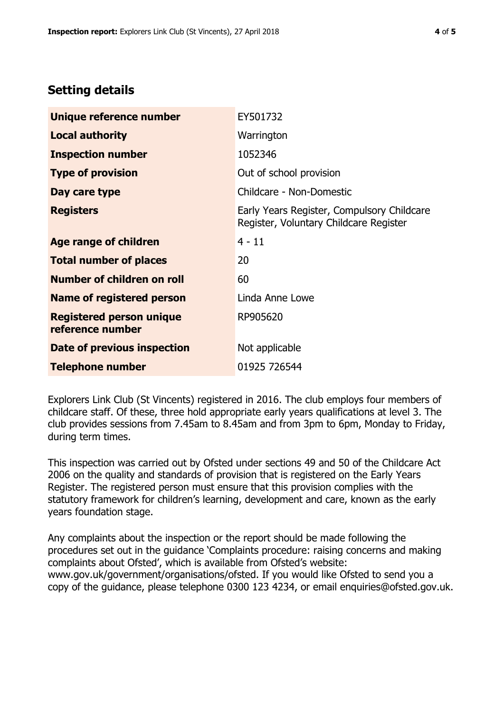# **Setting details**

| Unique reference number                             | EY501732                                                                             |  |
|-----------------------------------------------------|--------------------------------------------------------------------------------------|--|
| <b>Local authority</b>                              | Warrington                                                                           |  |
| <b>Inspection number</b>                            | 1052346                                                                              |  |
| <b>Type of provision</b>                            | Out of school provision                                                              |  |
| Day care type                                       | Childcare - Non-Domestic                                                             |  |
| <b>Registers</b>                                    | Early Years Register, Compulsory Childcare<br>Register, Voluntary Childcare Register |  |
| Age range of children                               | $4 - 11$                                                                             |  |
| <b>Total number of places</b>                       | 20                                                                                   |  |
| Number of children on roll                          | 60                                                                                   |  |
| Name of registered person                           | Linda Anne Lowe                                                                      |  |
| <b>Registered person unique</b><br>reference number | RP905620                                                                             |  |
| Date of previous inspection                         | Not applicable                                                                       |  |
| <b>Telephone number</b>                             | 01925 726544                                                                         |  |

Explorers Link Club (St Vincents) registered in 2016. The club employs four members of childcare staff. Of these, three hold appropriate early years qualifications at level 3. The club provides sessions from 7.45am to 8.45am and from 3pm to 6pm, Monday to Friday, during term times.

This inspection was carried out by Ofsted under sections 49 and 50 of the Childcare Act 2006 on the quality and standards of provision that is registered on the Early Years Register. The registered person must ensure that this provision complies with the statutory framework for children's learning, development and care, known as the early years foundation stage.

Any complaints about the inspection or the report should be made following the procedures set out in the guidance 'Complaints procedure: raising concerns and making complaints about Ofsted', which is available from Ofsted's website: www.gov.uk/government/organisations/ofsted. If you would like Ofsted to send you a copy of the guidance, please telephone 0300 123 4234, or email enquiries@ofsted.gov.uk.